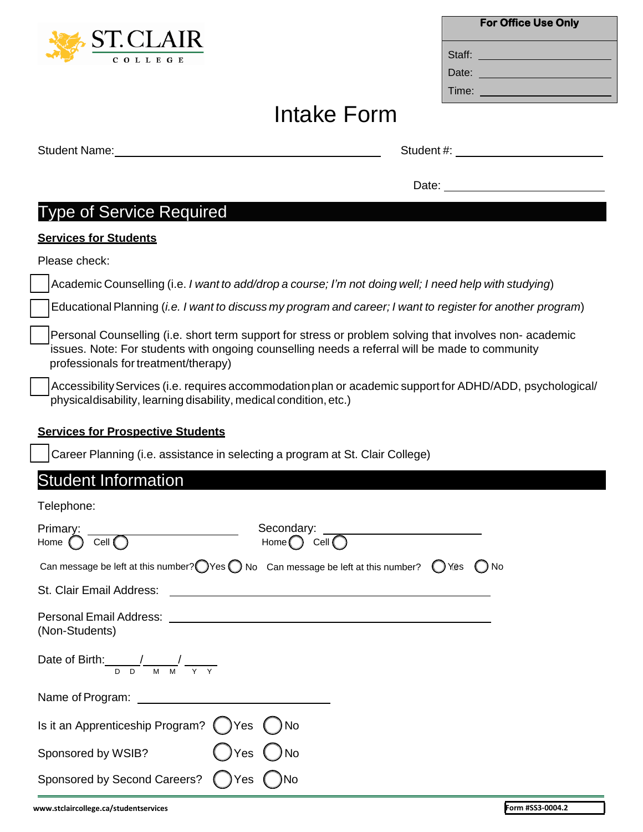Sponsored by Second Careers? Nes ONo

## Intake Form

|                                                                                          | Student #: expression and the state of the state of the state of the state of the state of the state of the state of the state of the state of the state of the state of the state of the state of the state of the state of t |  |  |
|------------------------------------------------------------------------------------------|--------------------------------------------------------------------------------------------------------------------------------------------------------------------------------------------------------------------------------|--|--|
|                                                                                          | Date: <u>_______________________________</u>                                                                                                                                                                                   |  |  |
| <b>Type of Service Required</b>                                                          |                                                                                                                                                                                                                                |  |  |
| <b>Services for Students</b>                                                             |                                                                                                                                                                                                                                |  |  |
| Please check:                                                                            |                                                                                                                                                                                                                                |  |  |
|                                                                                          | Academic Counselling (i.e. I want to add/drop a course; I'm not doing well; I need help with studying)                                                                                                                         |  |  |
|                                                                                          | Educational Planning (i.e. I want to discuss my program and career; I want to register for another program)                                                                                                                    |  |  |
| professionals for treatment/therapy)                                                     | Personal Counselling (i.e. short term support for stress or problem solving that involves non-academic<br>issues. Note: For students with ongoing counselling needs a referral will be made to community                       |  |  |
| physicaldisability, learning disability, medical condition, etc.)                        | Accessibility Services (i.e. requires accommodation plan or academic support for ADHD/ADD, psychological/                                                                                                                      |  |  |
| <b>Services for Prospective Students</b>                                                 |                                                                                                                                                                                                                                |  |  |
| Career Planning (i.e. assistance in selecting a program at St. Clair College)            |                                                                                                                                                                                                                                |  |  |
| <b>Student Information</b>                                                               |                                                                                                                                                                                                                                |  |  |
| Telephone:                                                                               |                                                                                                                                                                                                                                |  |  |
| Primary:<br>Home $\bigcap$ Cell $\bigcap$                                                | Home $\bigcap$ Cell $\bigcap$                                                                                                                                                                                                  |  |  |
| Can message be left at this number? O Yes O No Can message be left at this number? O Yes | $\bigcup$ No                                                                                                                                                                                                                   |  |  |
| St. Clair Email Address:                                                                 |                                                                                                                                                                                                                                |  |  |
| Personal Email Address:<br>(Non-Students)                                                |                                                                                                                                                                                                                                |  |  |
| Date of Birth: $\frac{1}{D} \frac{1}{D} \frac{1}{M} \frac{1}{M} \frac{1}{Y} \frac{1}{Y}$ |                                                                                                                                                                                                                                |  |  |
|                                                                                          |                                                                                                                                                                                                                                |  |  |
| Is it an Apprenticeship Program? $\bigcirc$ Yes                                          | No.                                                                                                                                                                                                                            |  |  |
| Sponsored by WSIB?<br>Yes                                                                | ) No                                                                                                                                                                                                                           |  |  |



| <b>For Office Use Only</b> |  |  |  |  |  |
|----------------------------|--|--|--|--|--|
| Staff:                     |  |  |  |  |  |
| Date:                      |  |  |  |  |  |
| Time:                      |  |  |  |  |  |